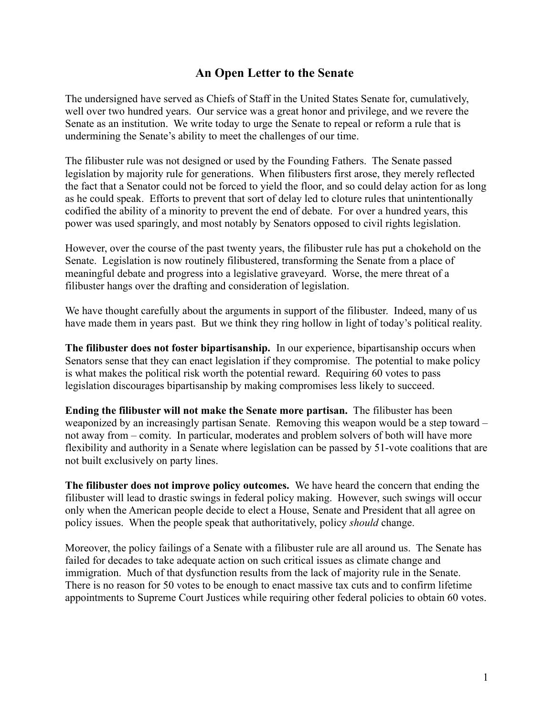## **An Open Letter to the Senate**

The undersigned have served as Chiefs of Staff in the United States Senate for, cumulatively, well over two hundred years. Our service was a great honor and privilege, and we revere the Senate as an institution. We write today to urge the Senate to repeal or reform a rule that is undermining the Senate's ability to meet the challenges of our time.

The filibuster rule was not designed or used by the Founding Fathers. The Senate passed legislation by majority rule for generations. When filibusters first arose, they merely reflected the fact that a Senator could not be forced to yield the floor, and so could delay action for as long as he could speak. Efforts to prevent that sort of delay led to cloture rules that unintentionally codified the ability of a minority to prevent the end of debate. For over a hundred years, this power was used sparingly, and most notably by Senators opposed to civil rights legislation.

However, over the course of the past twenty years, the filibuster rule has put a chokehold on the Senate. Legislation is now routinely filibustered, transforming the Senate from a place of meaningful debate and progress into a legislative graveyard. Worse, the mere threat of a filibuster hangs over the drafting and consideration of legislation.

We have thought carefully about the arguments in support of the filibuster. Indeed, many of us have made them in years past. But we think they ring hollow in light of today's political reality.

**The filibuster does not foster bipartisanship.** In our experience, bipartisanship occurs when Senators sense that they can enact legislation if they compromise. The potential to make policy is what makes the political risk worth the potential reward. Requiring 60 votes to pass legislation discourages bipartisanship by making compromises less likely to succeed.

**Ending the filibuster will not make the Senate more partisan.** The filibuster has been weaponized by an increasingly partisan Senate. Removing this weapon would be a step toward – not away from – comity. In particular, moderates and problem solvers of both will have more flexibility and authority in a Senate where legislation can be passed by 51-vote coalitions that are not built exclusively on party lines.

**The filibuster does not improve policy outcomes.** We have heard the concern that ending the filibuster will lead to drastic swings in federal policy making. However, such swings will occur only when the American people decide to elect a House, Senate and President that all agree on policy issues. When the people speak that authoritatively, policy *should* change.

Moreover, the policy failings of a Senate with a filibuster rule are all around us. The Senate has failed for decades to take adequate action on such critical issues as climate change and immigration. Much of that dysfunction results from the lack of majority rule in the Senate. There is no reason for 50 votes to be enough to enact massive tax cuts and to confirm lifetime appointments to Supreme Court Justices while requiring other federal policies to obtain 60 votes.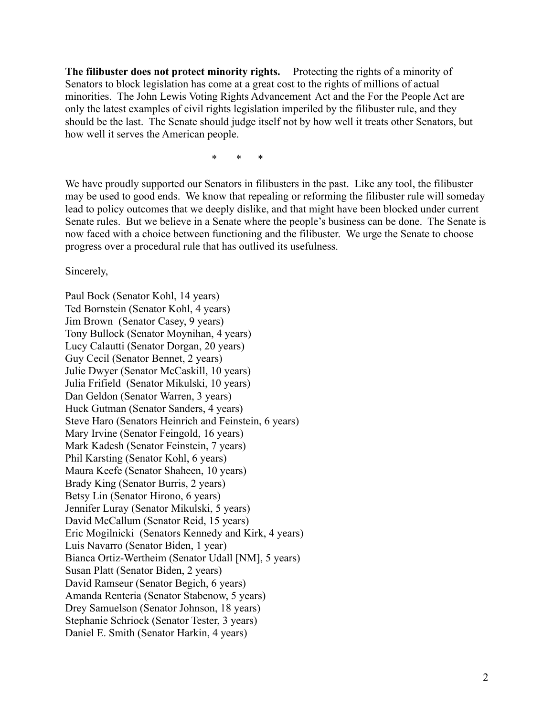**The filibuster does not protect minority rights.** Protecting the rights of a minority of Senators to block legislation has come at a great cost to the rights of millions of actual minorities. The John Lewis Voting Rights Advancement Act and the For the People Act are only the latest examples of civil rights legislation imperiled by the filibuster rule, and they should be the last. The Senate should judge itself not by how well it treats other Senators, but how well it serves the American people.

\* \* \*

We have proudly supported our Senators in filibusters in the past. Like any tool, the filibuster may be used to good ends. We know that repealing or reforming the filibuster rule will someday lead to policy outcomes that we deeply dislike, and that might have been blocked under current Senate rules. But we believe in a Senate where the people's business can be done. The Senate is now faced with a choice between functioning and the filibuster. We urge the Senate to choose progress over a procedural rule that has outlived its usefulness.

Sincerely,

Paul Bock (Senator Kohl, 14 years) Ted Bornstein (Senator Kohl, 4 years) Jim Brown (Senator Casey, 9 years) Tony Bullock (Senator Moynihan, 4 years) Lucy Calautti (Senator Dorgan, 20 years) Guy Cecil (Senator Bennet, 2 years) Julie Dwyer (Senator McCaskill, 10 years) Julia Frifield (Senator Mikulski, 10 years) Dan Geldon (Senator Warren, 3 years) Huck Gutman (Senator Sanders, 4 years) Steve Haro (Senators Heinrich and Feinstein, 6 years) Mary Irvine (Senator Feingold, 16 years) Mark Kadesh (Senator Feinstein, 7 years) Phil Karsting (Senator Kohl, 6 years) Maura Keefe (Senator Shaheen, 10 years) Brady King (Senator Burris, 2 years) Betsy Lin (Senator Hirono, 6 years) Jennifer Luray (Senator Mikulski, 5 years) David McCallum (Senator Reid, 15 years) Eric Mogilnicki (Senators Kennedy and Kirk, 4 years) Luis Navarro (Senator Biden, 1 year) Bianca Ortiz-Wertheim (Senator Udall [NM], 5 years) Susan Platt (Senator Biden, 2 years) David Ramseur (Senator Begich, 6 years) Amanda Renteria (Senator Stabenow, 5 years) Drey Samuelson (Senator Johnson, 18 years) Stephanie Schriock (Senator Tester, 3 years) Daniel E. Smith (Senator Harkin, 4 years)